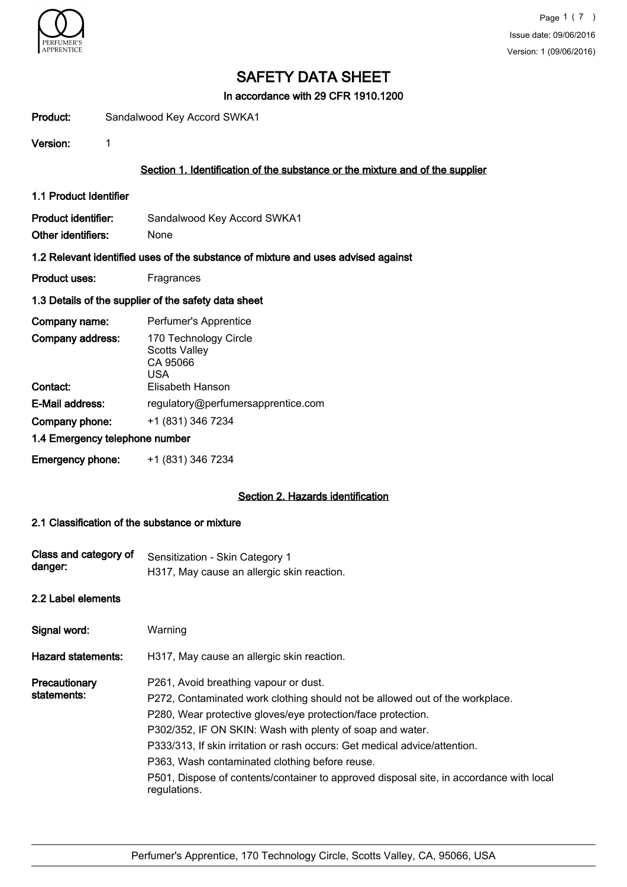

In accordance with 29 CFR 1910.1200

Product: Sandalwood Key Accord SWKA1

Version: 1

# Section 1. Identification of the substance or the mixture and of the supplier

1.1 Product Identifier

Product identifier: Sandalwood Key Accord SWKA1 Other identifiers: None

#### 1.2 Relevant identified uses of the substance of mixture and uses advised against

Product uses: Fragrances

### 1.3 Details of the supplier of the safety data sheet

| Company name:                  | Perfumer's Apprentice                                                                       |
|--------------------------------|---------------------------------------------------------------------------------------------|
| Company address:<br>Contact:   | 170 Technology Circle<br><b>Scotts Valley</b><br>CA 95066<br><b>USA</b><br>Elisabeth Hanson |
|                                |                                                                                             |
| E-Mail address:                | regulatory@perfumersapprentice.com                                                          |
| Company phone:                 | +1 (831) 346 7234                                                                           |
| 1.4 Emergency telephone number |                                                                                             |
| <b>Emergency phone:</b>        | +1 (831) 346 7234                                                                           |

## Section 2. Hazards identification

### 2.1 Classification of the substance or mixture

| Class and category of<br>danger: | Sensitization - Skin Category 1<br>H317, May cause an allergic skin reaction.                                                                                                                                                                                                                                                                                                                                                                                                                 |
|----------------------------------|-----------------------------------------------------------------------------------------------------------------------------------------------------------------------------------------------------------------------------------------------------------------------------------------------------------------------------------------------------------------------------------------------------------------------------------------------------------------------------------------------|
| 2.2 Label elements               |                                                                                                                                                                                                                                                                                                                                                                                                                                                                                               |
| Signal word:                     | Warning                                                                                                                                                                                                                                                                                                                                                                                                                                                                                       |
| <b>Hazard statements:</b>        | H317, May cause an allergic skin reaction.                                                                                                                                                                                                                                                                                                                                                                                                                                                    |
| Precautionary<br>statements:     | P261, Avoid breathing vapour or dust.<br>P272, Contaminated work clothing should not be allowed out of the workplace.<br>P280, Wear protective gloves/eye protection/face protection.<br>P302/352, IF ON SKIN: Wash with plenty of soap and water.<br>P333/313, If skin irritation or rash occurs: Get medical advice/attention.<br>P363, Wash contaminated clothing before reuse.<br>P501, Dispose of contents/container to approved disposal site, in accordance with local<br>regulations. |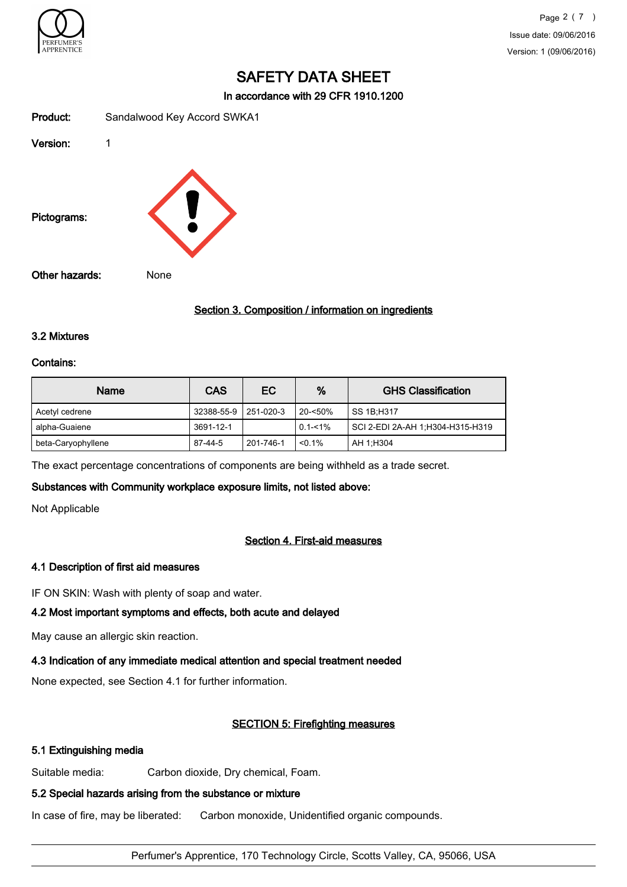

In accordance with 29 CFR 1910.1200

| Product:       | Sandalwood Key Accord SWKA1 |
|----------------|-----------------------------|
| Version:       | 1                           |
| Pictograms:    |                             |
| Other hazards: | None                        |

# Section 3. Composition / information on ingredients

## 3.2 Mixtures

#### Contains:

| Name               | <b>CAS</b> | EC        | %           | <b>GHS Classification</b>        |
|--------------------|------------|-----------|-------------|----------------------------------|
| Acetyl cedrene     | 32388-55-9 | 251-020-3 | $20 - 50\%$ | SS 1B:H317                       |
| alpha-Guaiene      | 3691-12-1  |           | $0.1 - 1\%$ | SCI 2-EDI 2A-AH 1;H304-H315-H319 |
| beta-Caryophyllene | $87-44-5$  | 201-746-1 | $< 0.1\%$   | AH 1:H304                        |

The exact percentage concentrations of components are being withheld as a trade secret.

### Substances with Community workplace exposure limits, not listed above:

Not Applicable

# Section 4. First-aid measures

### 4.1 Description of first aid measures

IF ON SKIN: Wash with plenty of soap and water.

## 4.2 Most important symptoms and effects, both acute and delayed

May cause an allergic skin reaction.

### 4.3 Indication of any immediate medical attention and special treatment needed

None expected, see Section 4.1 for further information.

### SECTION 5: Firefighting measures

### 5.1 Extinguishing media

Suitable media: Carbon dioxide, Dry chemical, Foam.

## 5.2 Special hazards arising from the substance or mixture

In case of fire, may be liberated: Carbon monoxide, Unidentified organic compounds.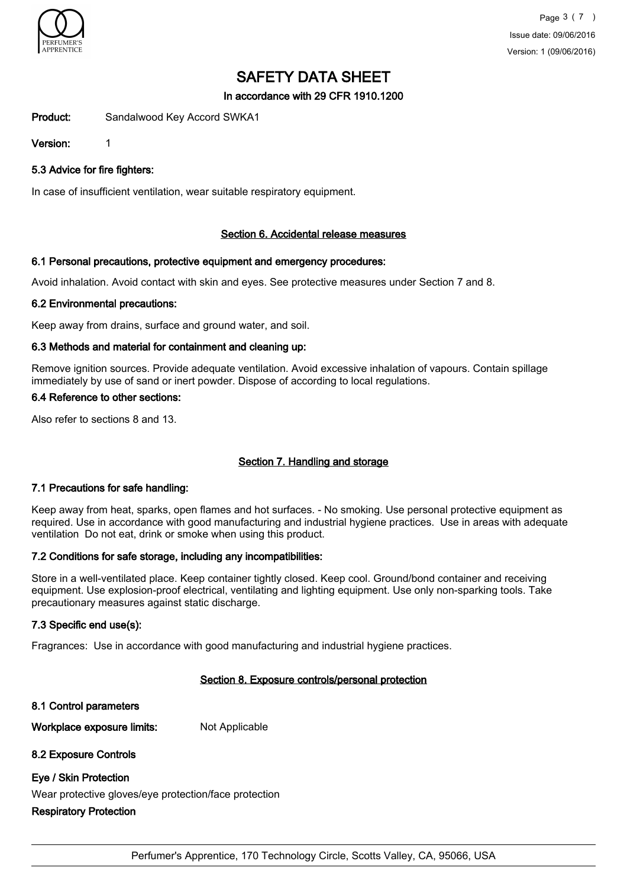

In accordance with 29 CFR 1910.1200

Product: Sandalwood Key Accord SWKA1

Version: 1

5.3 Advice for fire fighters:

In case of insufficient ventilation, wear suitable respiratory equipment.

# Section 6. Accidental release measures

# 6.1 Personal precautions, protective equipment and emergency procedures:

Avoid inhalation. Avoid contact with skin and eyes. See protective measures under Section 7 and 8.

### 6.2 Environmental precautions:

Keep away from drains, surface and ground water, and soil.

# 6.3 Methods and material for containment and cleaning up:

Remove ignition sources. Provide adequate ventilation. Avoid excessive inhalation of vapours. Contain spillage immediately by use of sand or inert powder. Dispose of according to local regulations.

## 6.4 Reference to other sections:

Also refer to sections 8 and 13.

# Section 7. Handling and storage

### 7.1 Precautions for safe handling:

Keep away from heat, sparks, open flames and hot surfaces. - No smoking. Use personal protective equipment as required. Use in accordance with good manufacturing and industrial hygiene practices. Use in areas with adequate ventilation Do not eat, drink or smoke when using this product.

### 7.2 Conditions for safe storage, including any incompatibilities:

Store in a well-ventilated place. Keep container tightly closed. Keep cool. Ground/bond container and receiving equipment. Use explosion-proof electrical, ventilating and lighting equipment. Use only non-sparking tools. Take precautionary measures against static discharge.

# 7.3 Specific end use(s):

Fragrances: Use in accordance with good manufacturing and industrial hygiene practices.

# Section 8. Exposure controls/personal protection

8.1 Control parameters

Workplace exposure limits: Not Applicable

# 8.2 Exposure Controls

# Eye / Skin Protection

Wear protective gloves/eye protection/face protection

# Respiratory Protection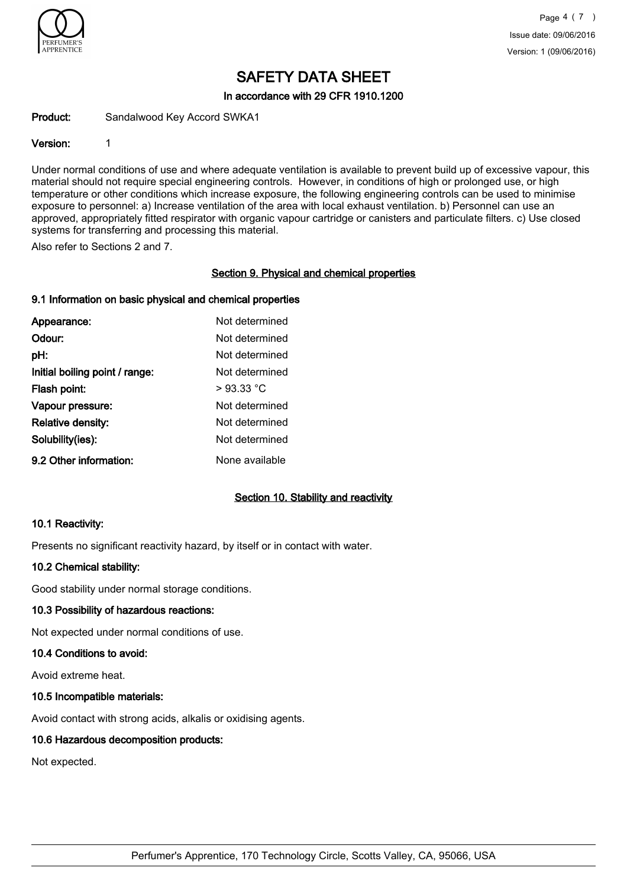

In accordance with 29 CFR 1910.1200

Product: Sandalwood Key Accord SWKA1

## Version: 1

Under normal conditions of use and where adequate ventilation is available to prevent build up of excessive vapour, this material should not require special engineering controls. However, in conditions of high or prolonged use, or high temperature or other conditions which increase exposure, the following engineering controls can be used to minimise exposure to personnel: a) Increase ventilation of the area with local exhaust ventilation. b) Personnel can use an approved, appropriately fitted respirator with organic vapour cartridge or canisters and particulate filters. c) Use closed systems for transferring and processing this material.

Also refer to Sections 2 and 7.

# Section 9. Physical and chemical properties

# 9.1 Information on basic physical and chemical properties

| Appearance:                    | Not determined |
|--------------------------------|----------------|
| Odour:                         | Not determined |
| pH:                            | Not determined |
| Initial boiling point / range: | Not determined |
| Flash point:                   | $>93.33$ °C    |
| Vapour pressure:               | Not determined |
| <b>Relative density:</b>       | Not determined |
| Solubility(ies):               | Not determined |
| 9.2 Other information:         | None available |

# Section 10. Stability and reactivity

### 10.1 Reactivity:

Presents no significant reactivity hazard, by itself or in contact with water.

### 10.2 Chemical stability:

Good stability under normal storage conditions.

### 10.3 Possibility of hazardous reactions:

Not expected under normal conditions of use.

### 10.4 Conditions to avoid:

Avoid extreme heat.

### 10.5 Incompatible materials:

Avoid contact with strong acids, alkalis or oxidising agents.

# 10.6 Hazardous decomposition products:

Not expected.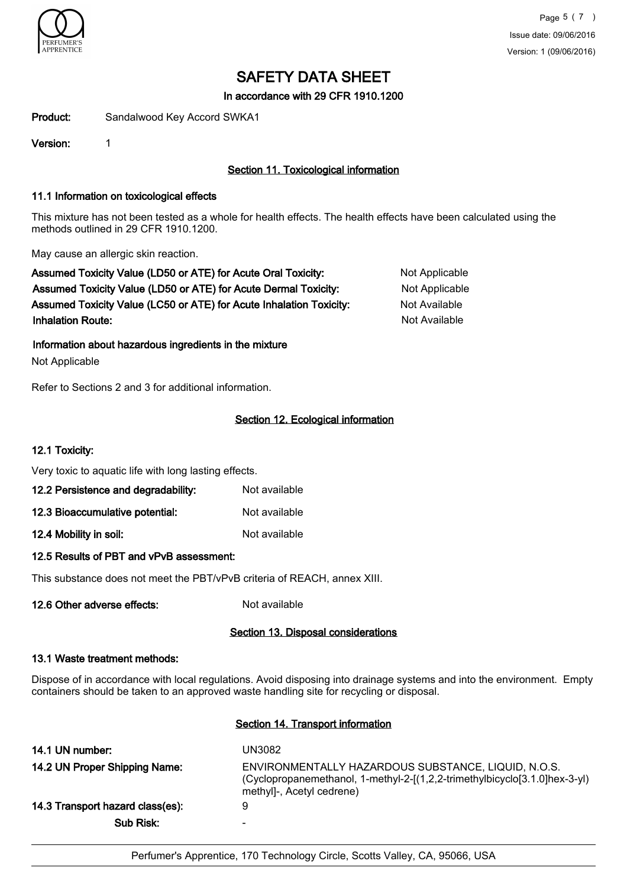

In accordance with 29 CFR 1910.1200

Product: Sandalwood Key Accord SWKA1

Version: 1

# Section 11. Toxicological information

## 11.1 Information on toxicological effects

This mixture has not been tested as a whole for health effects. The health effects have been calculated using the methods outlined in 29 CFR 1910.1200.

May cause an allergic skin reaction.

Assumed Toxicity Value (LD50 or ATE) for Acute Oral Toxicity: Not Applicable Assumed Toxicity Value (LD50 or ATE) for Acute Dermal Toxicity: Not Applicable Assumed Toxicity Value (LC50 or ATE) for Acute Inhalation Toxicity: Not Available **Inhalation Route:** Not Available in the United States of Available in the United States of Available in the United States of Available in the United States of Available in the United States of Available in the United Stat

Information about hazardous ingredients in the mixture

Not Applicable

Refer to Sections 2 and 3 for additional information.

# Section 12. Ecological information

## 12.1 Toxicity:

Very toxic to aquatic life with long lasting effects.

| 12.2 Persistence and degradability: | Not available |
|-------------------------------------|---------------|
|                                     |               |

| 12.3 Bioaccumulative potential: | Not available |
|---------------------------------|---------------|
|                                 |               |

12.4 Mobility in soil: Not available

### 12.5 Results of PBT and vPvB assessment:

This substance does not meet the PBT/vPvB criteria of REACH, annex XIII.

12.6 Other adverse effects: Not available

### Section 13. Disposal considerations

### 13.1 Waste treatment methods:

Dispose of in accordance with local regulations. Avoid disposing into drainage systems and into the environment. Empty containers should be taken to an approved waste handling site for recycling or disposal.

# Section 14. Transport information

| 14.1 UN number:                  | UN3082                                                                                                                                                         |
|----------------------------------|----------------------------------------------------------------------------------------------------------------------------------------------------------------|
| 14.2 UN Proper Shipping Name:    | ENVIRONMENTALLY HAZARDOUS SUBSTANCE, LIQUID, N.O.S.<br>(Cyclopropanemethanol, 1-methyl-2-[(1,2,2-trimethylbicyclo[3.1.0]hex-3-yl)<br>methyl]-, Acetyl cedrene) |
| 14.3 Transport hazard class(es): | 9                                                                                                                                                              |
| Sub Risk:                        | $\overline{\phantom{0}}$                                                                                                                                       |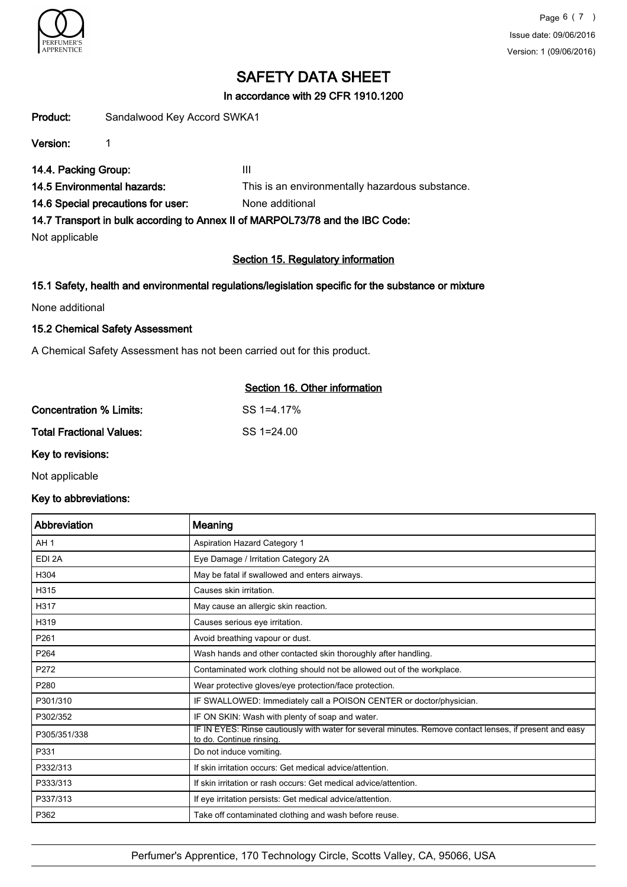

# In accordance with 29 CFR 1910.1200

Product: Sandalwood Key Accord SWKA1

Version: 1

14.4. Packing Group: III

14.5 Environmental hazards: This is an environmentally hazardous substance.

14.6 Special precautions for user: None additional

14.7 Transport in bulk according to Annex II of MARPOL73/78 and the IBC Code:

Not applicable

# Section 15. Regulatory information

# 15.1 Safety, health and environmental regulations/legislation specific for the substance or mixture

None additional

# 15.2 Chemical Safety Assessment

A Chemical Safety Assessment has not been carried out for this product.

|                          | Section 16. Other information |  |
|--------------------------|-------------------------------|--|
| Concentration % Limits:  | SS 1=4.17%                    |  |
| Total Fractional Values: | $SS = 124.00$                 |  |

# Key to revisions:

Not applicable

### Key to abbreviations:

| Abbreviation     | Meaning                                                                                                                             |
|------------------|-------------------------------------------------------------------------------------------------------------------------------------|
| AH <sub>1</sub>  | Aspiration Hazard Category 1                                                                                                        |
| EDI 2A           | Eye Damage / Irritation Category 2A                                                                                                 |
| H304             | May be fatal if swallowed and enters airways.                                                                                       |
| H315             | Causes skin irritation.                                                                                                             |
| H317             | May cause an allergic skin reaction.                                                                                                |
| H319             | Causes serious eye irritation.                                                                                                      |
| P261             | Avoid breathing vapour or dust.                                                                                                     |
| P <sub>264</sub> | Wash hands and other contacted skin thoroughly after handling.                                                                      |
| P272             | Contaminated work clothing should not be allowed out of the workplace.                                                              |
| P280             | Wear protective gloves/eye protection/face protection.                                                                              |
| P301/310         | IF SWALLOWED: Immediately call a POISON CENTER or doctor/physician.                                                                 |
| P302/352         | IF ON SKIN: Wash with plenty of soap and water.                                                                                     |
| P305/351/338     | IF IN EYES: Rinse cautiously with water for several minutes. Remove contact lenses, if present and easy<br>to do. Continue rinsing. |
| P331             | Do not induce vomiting.                                                                                                             |
| P332/313         | If skin irritation occurs: Get medical advice/attention.                                                                            |
| P333/313         | If skin irritation or rash occurs: Get medical advice/attention.                                                                    |
| P337/313         | If eye irritation persists: Get medical advice/attention.                                                                           |
| P362             | Take off contaminated clothing and wash before reuse.                                                                               |